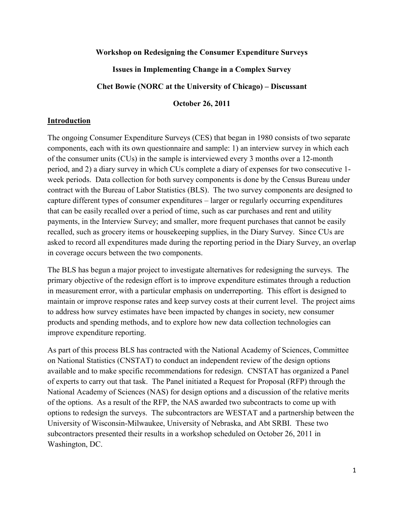#### **Workshop on Redesigning the Consumer Expenditure Surveys**

### **Issues in Implementing Change in a Complex Survey**

#### **Chet Bowie (NORC at the University of Chicago) – Discussant**

**October 26, 2011** 

#### **Introduction**

The ongoing Consumer Expenditure Surveys (CES) that began in 1980 consists of two separate components, each with its own questionnaire and sample: 1) an interview survey in which each of the consumer units (CUs) in the sample is interviewed every 3 months over a 12-month period, and 2) a diary survey in which CUs complete a diary of expenses for two consecutive 1 week periods. Data collection for both survey components is done by the Census Bureau under contract with the Bureau of Labor Statistics (BLS). The two survey components are designed to capture different types of consumer expenditures – larger or regularly occurring expenditures that can be easily recalled over a period of time, such as car purchases and rent and utility payments, in the Interview Survey; and smaller, more frequent purchases that cannot be easily recalled, such as grocery items or housekeeping supplies, in the Diary Survey. Since CUs are asked to record all expenditures made during the reporting period in the Diary Survey, an overlap in coverage occurs between the two components.

The BLS has begun a major project to investigate alternatives for redesigning the surveys. The primary objective of the redesign effort is to improve expenditure estimates through a reduction in measurement error, with a particular emphasis on underreporting. This effort is designed to maintain or improve response rates and keep survey costs at their current level. The project aims to address how survey estimates have been impacted by changes in society, new consumer products and spending methods, and to explore how new data collection technologies can improve expenditure reporting.

As part of this process BLS has contracted with the National Academy of Sciences, Committee on National Statistics (CNSTAT) to conduct an independent review of the design options available and to make specific recommendations for redesign. CNSTAT has organized a Panel of experts to carry out that task. The Panel initiated a Request for Proposal (RFP) through the National Academy of Sciences (NAS) for design options and a discussion of the relative merits of the options. As a result of the RFP, the NAS awarded two subcontracts to come up with options to redesign the surveys. The subcontractors are WESTAT and a partnership between the University of Wisconsin-Milwaukee, University of Nebraska, and Abt SRBI. These two subcontractors presented their results in a workshop scheduled on October 26, 2011 in Washington, DC.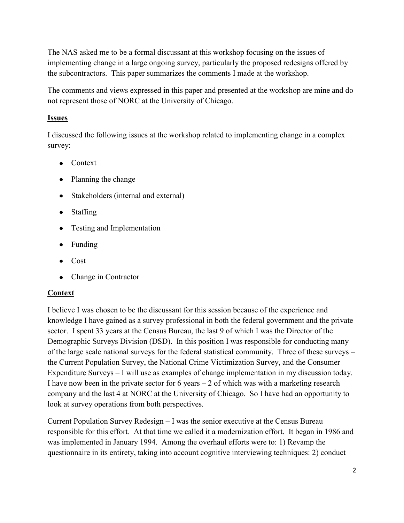The NAS asked me to be a formal discussant at this workshop focusing on the issues of implementing change in a large ongoing survey, particularly the proposed redesigns offered by the subcontractors. This paper summarizes the comments I made at the workshop.

The comments and views expressed in this paper and presented at the workshop are mine and do not represent those of NORC at the University of Chicago.

# **Issues**

I discussed the following issues at the workshop related to implementing change in a complex survey:

- Context
- Planning the change
- Stakeholders (internal and external)
- Staffing
- Testing and Implementation
- Funding
- Cost
- Change in Contractor

# **Context**

I believe I was chosen to be the discussant for this session because of the experience and knowledge I have gained as a survey professional in both the federal government and the private sector. I spent 33 years at the Census Bureau, the last 9 of which I was the Director of the Demographic Surveys Division (DSD). In this position I was responsible for conducting many of the large scale national surveys for the federal statistical community. Three of these surveys – the Current Population Survey, the National Crime Victimization Survey, and the Consumer Expenditure Surveys – I will use as examples of change implementation in my discussion today. I have now been in the private sector for  $6$  years  $-2$  of which was with a marketing research company and the last 4 at NORC at the University of Chicago. So I have had an opportunity to look at survey operations from both perspectives.

Current Population Survey Redesign – I was the senior executive at the Census Bureau responsible for this effort. At that time we called it a modernization effort. It began in 1986 and was implemented in January 1994. Among the overhaul efforts were to: 1) Revamp the questionnaire in its entirety, taking into account cognitive interviewing techniques: 2) conduct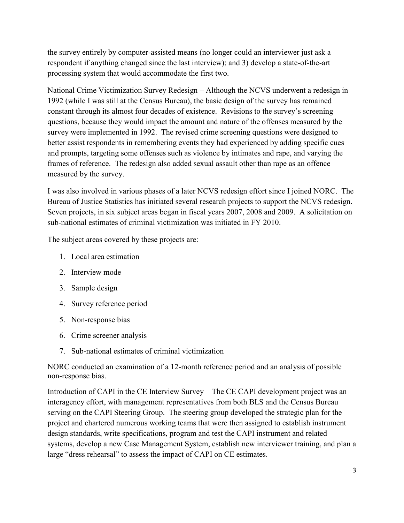the survey entirely by computer-assisted means (no longer could an interviewer just ask a respondent if anything changed since the last interview); and 3) develop a state-of-the-art processing system that would accommodate the first two.

National Crime Victimization Survey Redesign – Although the NCVS underwent a redesign in 1992 (while I was still at the Census Bureau), the basic design of the survey has remained constant through its almost four decades of existence. Revisions to the survey's screening questions, because they would impact the amount and nature of the offenses measured by the survey were implemented in 1992. The revised crime screening questions were designed to better assist respondents in remembering events they had experienced by adding specific cues and prompts, targeting some offenses such as violence by intimates and rape, and varying the frames of reference. The redesign also added sexual assault other than rape as an offence measured by the survey.

I was also involved in various phases of a later NCVS redesign effort since I joined NORC. The Bureau of Justice Statistics has initiated several research projects to support the NCVS redesign. Seven projects, in six subject areas began in fiscal years 2007, 2008 and 2009. A solicitation on sub-national estimates of criminal victimization was initiated in FY 2010.

The subject areas covered by these projects are:

- 1. Local area estimation
- 2. Interview mode
- 3. Sample design
- 4. Survey reference period
- 5. Non-response bias
- 6. Crime screener analysis
- 7. Sub-national estimates of criminal victimization

NORC conducted an examination of a 12-month reference period and an analysis of possible non-response bias.

Introduction of CAPI in the CE Interview Survey – The CE CAPI development project was an interagency effort, with management representatives from both BLS and the Census Bureau serving on the CAPI Steering Group. The steering group developed the strategic plan for the project and chartered numerous working teams that were then assigned to establish instrument design standards, write specifications, program and test the CAPI instrument and related systems, develop a new Case Management System, establish new interviewer training, and plan a large "dress rehearsal" to assess the impact of CAPI on CE estimates.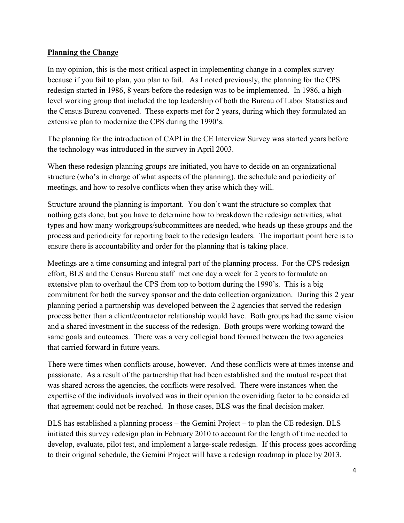### **Planning the Change**

In my opinion, this is the most critical aspect in implementing change in a complex survey because if you fail to plan, you plan to fail. As I noted previously, the planning for the CPS redesign started in 1986, 8 years before the redesign was to be implemented. In 1986, a highlevel working group that included the top leadership of both the Bureau of Labor Statistics and the Census Bureau convened. These experts met for 2 years, during which they formulated an extensive plan to modernize the CPS during the 1990's.

The planning for the introduction of CAPI in the CE Interview Survey was started years before the technology was introduced in the survey in April 2003.

When these redesign planning groups are initiated, you have to decide on an organizational structure (who's in charge of what aspects of the planning), the schedule and periodicity of meetings, and how to resolve conflicts when they arise which they will.

Structure around the planning is important. You don't want the structure so complex that nothing gets done, but you have to determine how to breakdown the redesign activities, what types and how many workgroups/subcommittees are needed, who heads up these groups and the process and periodicity for reporting back to the redesign leaders. The important point here is to ensure there is accountability and order for the planning that is taking place.

Meetings are a time consuming and integral part of the planning process. For the CPS redesign effort, BLS and the Census Bureau staff met one day a week for 2 years to formulate an extensive plan to overhaul the CPS from top to bottom during the 1990's. This is a big commitment for both the survey sponsor and the data collection organization. During this 2 year planning period a partnership was developed between the 2 agencies that served the redesign process better than a client/contractor relationship would have. Both groups had the same vision and a shared investment in the success of the redesign. Both groups were working toward the same goals and outcomes. There was a very collegial bond formed between the two agencies that carried forward in future years.

There were times when conflicts arouse, however. And these conflicts were at times intense and passionate. As a result of the partnership that had been established and the mutual respect that was shared across the agencies, the conflicts were resolved. There were instances when the expertise of the individuals involved was in their opinion the overriding factor to be considered that agreement could not be reached. In those cases, BLS was the final decision maker.

BLS has established a planning process – the Gemini Project – to plan the CE redesign. BLS initiated this survey redesign plan in February 2010 to account for the length of time needed to develop, evaluate, pilot test, and implement a large-scale redesign. If this process goes according to their original schedule, the Gemini Project will have a redesign roadmap in place by 2013.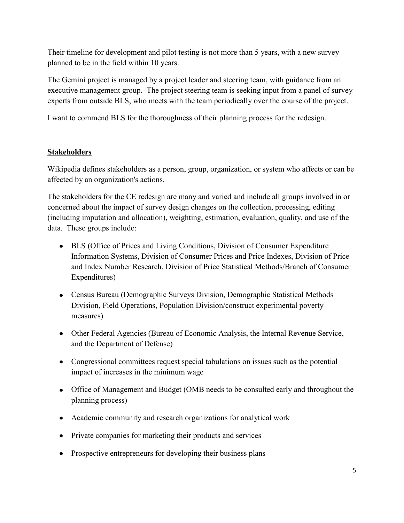Their timeline for development and pilot testing is not more than 5 years, with a new survey planned to be in the field within 10 years.

The Gemini project is managed by a project leader and steering team, with guidance from an executive management group. The project steering team is seeking input from a panel of survey experts from outside BLS, who meets with the team periodically over the course of the project.

I want to commend BLS for the thoroughness of their planning process for the redesign.

# **Stakeholders**

Wikipedia defines stakeholders as a person, group, organization, or system who affects or can be affected by an organization's actions.

The stakeholders for the CE redesign are many and varied and include all groups involved in or concerned about the impact of survey design changes on the collection, processing, editing (including imputation and allocation), weighting, estimation, evaluation, quality, and use of the data. These groups include:

- BLS (Office of Prices and Living Conditions, Division of Consumer Expenditure Information Systems, Division of Consumer Prices and Price Indexes, Division of Price and Index Number Research, Division of Price Statistical Methods/Branch of Consumer Expenditures)
- Census Bureau (Demographic Surveys Division, Demographic Statistical Methods Division, Field Operations, Population Division/construct experimental poverty measures)
- Other Federal Agencies (Bureau of Economic Analysis, the Internal Revenue Service, and the Department of Defense)
- Congressional committees request special tabulations on issues such as the potential impact of increases in the minimum wage
- Office of Management and Budget (OMB needs to be consulted early and throughout the planning process)
- Academic community and research organizations for analytical work
- Private companies for marketing their products and services
- Prospective entrepreneurs for developing their business plans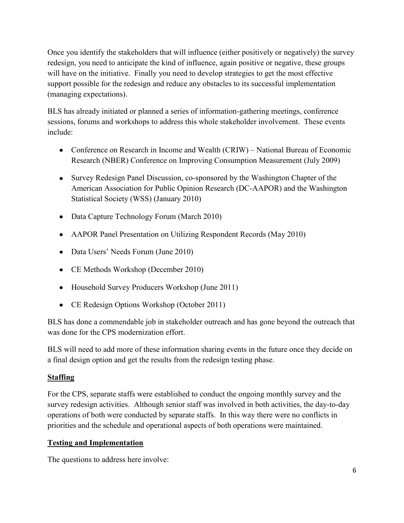Once you identify the stakeholders that will influence (either positively or negatively) the survey redesign, you need to anticipate the kind of influence, again positive or negative, these groups will have on the initiative. Finally you need to develop strategies to get the most effective support possible for the redesign and reduce any obstacles to its successful implementation (managing expectations).

BLS has already initiated or planned a series of information-gathering meetings, conference sessions, forums and workshops to address this whole stakeholder involvement. These events include:

- Conference on Research in Income and Wealth (CRIW) National Bureau of Economic Research (NBER) Conference on Improving Consumption Measurement (July 2009)
- Survey Redesign Panel Discussion, co-sponsored by the Washington Chapter of the American Association for Public Opinion Research (DC-AAPOR) and the Washington Statistical Society (WSS) (January 2010)
- Data Capture Technology Forum (March 2010)
- AAPOR Panel Presentation on Utilizing Respondent Records (May 2010)
- Data Users' Needs Forum (June 2010)
- CE Methods Workshop (December 2010)
- Household Survey Producers Workshop (June 2011)
- CE Redesign Options Workshop (October 2011)

BLS has done a commendable job in stakeholder outreach and has gone beyond the outreach that was done for the CPS modernization effort.

BLS will need to add more of these information sharing events in the future once they decide on a final design option and get the results from the redesign testing phase.

# **Staffing**

For the CPS, separate staffs were established to conduct the ongoing monthly survey and the survey redesign activities. Although senior staff was involved in both activities, the day-to-day operations of both were conducted by separate staffs. In this way there were no conflicts in priorities and the schedule and operational aspects of both operations were maintained.

# **Testing and Implementation**

The questions to address here involve: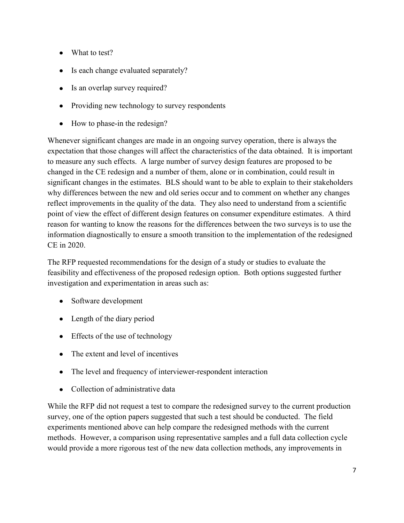- What to test?
- Is each change evaluated separately?
- Is an overlap survey required?
- Providing new technology to survey respondents
- How to phase-in the redesign?

Whenever significant changes are made in an ongoing survey operation, there is always the expectation that those changes will affect the characteristics of the data obtained. It is important to measure any such effects. A large number of survey design features are proposed to be changed in the CE redesign and a number of them, alone or in combination, could result in significant changes in the estimates. BLS should want to be able to explain to their stakeholders why differences between the new and old series occur and to comment on whether any changes reflect improvements in the quality of the data. They also need to understand from a scientific point of view the effect of different design features on consumer expenditure estimates. A third reason for wanting to know the reasons for the differences between the two surveys is to use the information diagnostically to ensure a smooth transition to the implementation of the redesigned CE in 2020.

The RFP requested recommendations for the design of a study or studies to evaluate the feasibility and effectiveness of the proposed redesign option. Both options suggested further investigation and experimentation in areas such as:

- Software development
- Length of the diary period
- Effects of the use of technology
- The extent and level of incentives  $\bullet$
- The level and frequency of interviewer-respondent interaction
- Collection of administrative data  $\bullet$

While the RFP did not request a test to compare the redesigned survey to the current production survey, one of the option papers suggested that such a test should be conducted. The field experiments mentioned above can help compare the redesigned methods with the current methods. However, a comparison using representative samples and a full data collection cycle would provide a more rigorous test of the new data collection methods, any improvements in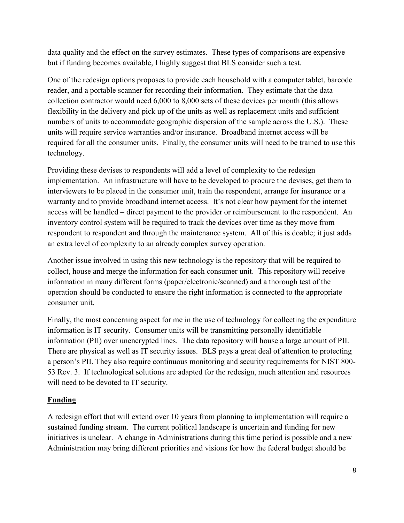data quality and the effect on the survey estimates. These types of comparisons are expensive but if funding becomes available, I highly suggest that BLS consider such a test.

One of the redesign options proposes to provide each household with a computer tablet, barcode reader, and a portable scanner for recording their information. They estimate that the data collection contractor would need 6,000 to 8,000 sets of these devices per month (this allows flexibility in the delivery and pick up of the units as well as replacement units and sufficient numbers of units to accommodate geographic dispersion of the sample across the U.S.). These units will require service warranties and/or insurance. Broadband internet access will be required for all the consumer units. Finally, the consumer units will need to be trained to use this technology.

Providing these devises to respondents will add a level of complexity to the redesign implementation. An infrastructure will have to be developed to procure the devises, get them to interviewers to be placed in the consumer unit, train the respondent, arrange for insurance or a warranty and to provide broadband internet access. It's not clear how payment for the internet access will be handled – direct payment to the provider or reimbursement to the respondent. An inventory control system will be required to track the devices over time as they move from respondent to respondent and through the maintenance system. All of this is doable; it just adds an extra level of complexity to an already complex survey operation.

Another issue involved in using this new technology is the repository that will be required to collect, house and merge the information for each consumer unit. This repository will receive information in many different forms (paper/electronic/scanned) and a thorough test of the operation should be conducted to ensure the right information is connected to the appropriate consumer unit.

Finally, the most concerning aspect for me in the use of technology for collecting the expenditure information is IT security. Consumer units will be transmitting personally identifiable information (PII) over unencrypted lines. The data repository will house a large amount of PII. There are physical as well as IT security issues. BLS pays a great deal of attention to protecting a person's PII. They also require continuous monitoring and security requirements for NIST 800- 53 Rev. 3. If technological solutions are adapted for the redesign, much attention and resources will need to be devoted to IT security.

# **Funding**

A redesign effort that will extend over 10 years from planning to implementation will require a sustained funding stream. The current political landscape is uncertain and funding for new initiatives is unclear. A change in Administrations during this time period is possible and a new Administration may bring different priorities and visions for how the federal budget should be